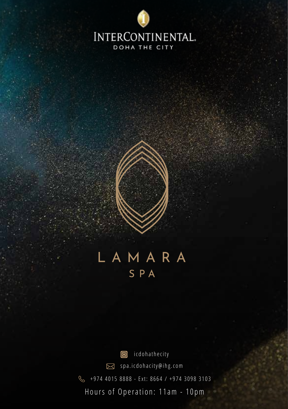



# LAMARA<br>SPA

Hours of Operation: 11am - 10pm +974 4015 8888 - Ext: 8664 / +974 3098 3103 spa.icdohacity@ihg.com o icdohathecity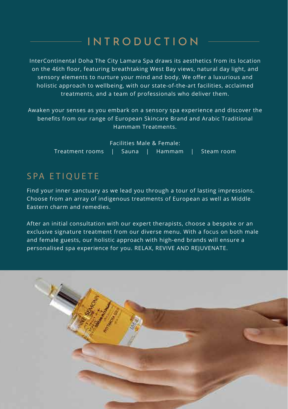### INTRODUCTION

InterContinental Doha The City Lamara Spa draws its aesthetics from its location on the 46th floor, featuring breathtaking West Bay views, natural day light, and sensory elements to nurture your mind and body. We offer a luxurious and holistic approach to wellbeing, with our state-of-the-art facilities, acclaimed treatments, and a team of professionals who deliver them.

Awaken your senses as you embark on a sensory spa experience and discover the benefits from our range of European Skincare Brand and Arabic Traditional Hammam Treatments.

> Facilities Male & Female: Treatment rooms | Sauna | Hammam | Steam room

### SPA ETIQUETE

Find your inner sanctuary as we lead you through a tour of lasting impressions. Choose from an array of indigenous treatments of European as well as Middle Eastern charm and remedies.

After an initial consultation with our expert therapists, choose a bespoke or an exclusive signature treatment from our diverse menu. With a focus on both male and female guests, our holistic approach with high-end brands will ensure a personalised spa experience for you. RELAX, REVIVE AND REJUVENATE.

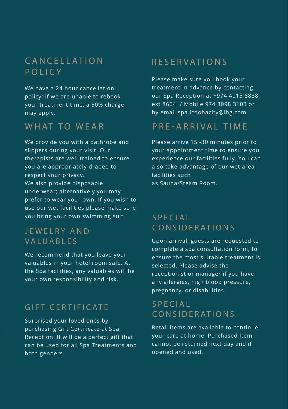### CANCELLATION POLICY

We have a 24 hour cancellation policy; if we are unable to rebook your treatment time, a 50% charge may apply.

### WHAT TO WEAR

We provide you with a bathrobe and slippers during your visit. Our therapists are well trained to ensure you are appropriately draped to respect your privacy. We also provide disposable underwear; alternatively you may prefer to wear your own. If you wish to use our wet facilities please make sure you bring your own swimming suit. SPFCIAL

### JEWELRY AND VALUABLES

We recommend that you leave your valuables in your hotel room safe. At the Spa facilities, any valuables will be your own responsibility and risk.

### GIFT CERTIFICATE

Surprised your loved ones by purchasing Gift Certificate at Spa Reception. It will be a perfect gift that can be used for all Spa Treatments and both genders.

### RESERVATIONS

Please make sure you book your treatment in advance by contacting our Spa Reception at +974 4015 8888, ext 8664 / Mobile 974 3098 3103 or by email spa.icdohacity@ihg.com

### PRE-ARRIVAL TIME

Please arrive 15 -30 minutes prior to your appointment time to ensure you experience our facilities fully. You can also take advantage of our wet area facilities such as Sauna/Steam Room.

# CONSIDERATIONS

Upon arrival, guests are requested to complete a spa consultation form, to ensure the most suitable treatment is selected. Please advise the receptionist or manager if you have any allergies, high blood pressure, pregnancy, or disabilities.

### SPECIAL CONSIDERATIONS

Retail items are available to continue your care at home. Purchased Item cannot be returned next day and if opened and used.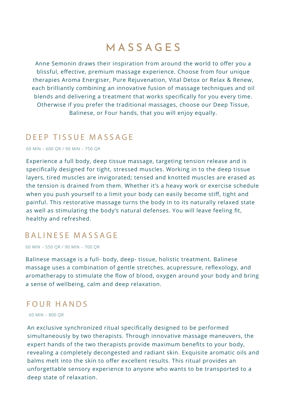### MASSAGES

Anne Semonin draws their inspiration from around the world to offer you a blissful, effective, premium massage experience. Choose from four unique therapies Aroma Energiser, Pure Rejuvenation, Vital Detox or Relax & Renew, each brilliantly combining an innovative fusion of massage techniques and oil blends and delivering a treatment that works specifically for you every time. Otherwise if you prefer the traditional massages, choose our Deep Tissue, Balinese, or Four hands, that you will enjoy equally.

#### DEEP TISSUE MASSAGE

60 MIN – 600 QR / 90 MIN – 750 QR

Experience a full body, deep tissue massage, targeting tension release and is specifically designed for tight, stressed muscles. Working in to the deep tissue layers, tired muscles are invigorated; tensed and knotted muscles are erased as the tension is drained from them. Whether it's a heavy work or exercise schedule when you push yourself to a limit your body can easily become stiff, tight and painful. This restorative massage turns the body in to its naturally relaxed state as well as stimulating the body's natural defenses. You will leave feeling fit, healthy and refreshed.

### BALINESE MASSAGE

60 MIN – 550 QR / 90 MIN – 700 QR

Balinese massage is a full- body, deep- tissue, holistic treatment. Balinese massage uses a combination of gentle stretches, acupressure, reflexology, and aromatherapy to stimulate the flow of blood, oxygen around your body and bring a sense of wellbeing, calm and deep relaxation.

### FOUR HANDS

60 MIN – 800 QR

An exclusive synchronized ritual specifically designed to be performed simultaneously by two therapists. Through innovative massage maneuvers, the expert hands of the two therapists provide maximum benefits to your body, revealing a completely decongested and radiant skin. Exquisite aromatic oils and balms melt into the skin to offer excellent results. This ritual provides an unforgettable sensory experience to anyone who wants to be transported to a deep state of relaxation.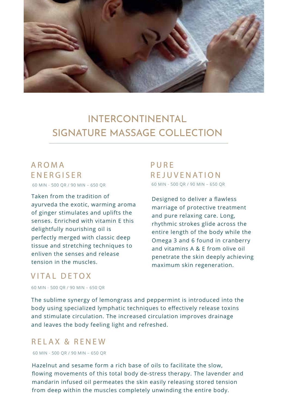

### INTERCONTINENTAL SIGNATURE MASSAGE COLLECTION

### AROMA ENERGISER

Taken from the tradition of ayurveda the exotic, warming aroma of ginger stimulates and uplifts the senses. Enriched with vitamin E this delightfully nourishing oil is perfectly merged with classic deep tissue and stretching techniques to enliven the senses and release tension in the muscles.

### PURE REJUVENATION

60 MIN - 500 QR / 90 MIN – 650 QR 60 MIN - 500 QR / 90 MIN – 650 QR

Designed to deliver a flawless marriage of protective treatment and pure relaxing care. Long, rhythmic strokes glide across the entire length of the body while the Omega 3 and 6 found in cranberry and vitamins A & E from olive oil penetrate the skin deeply achieving maximum skin regeneration.

### VITAL DETOX

60 MIN - 500 QR / 90 MIN – 650 QR

The sublime synergy of lemongrass and peppermint is introduced into the body using specialized lymphatic techniques to effectively release toxins and stimulate circulation. The increased circulation improves drainage and leaves the body feeling light and refreshed.

### RELAX & RENEW

60 MIN - 500 QR / 90 MIN – 650 QR

Hazelnut and sesame form a rich base of oils to facilitate the slow, flowing movements of this total body de-stress therapy. The lavender and mandarin infused oil permeates the skin easily releasing stored tension from deep within the muscles completely unwinding the entire body.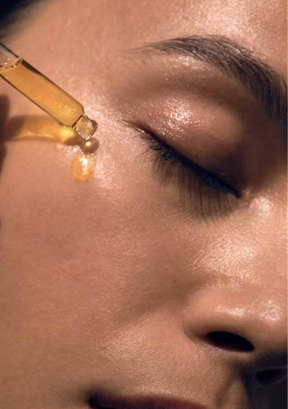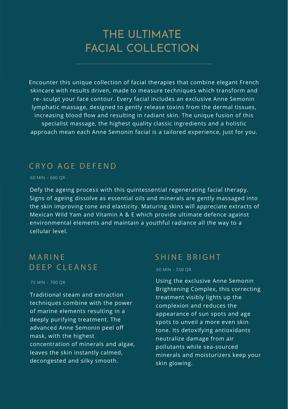# THE ULTIMATE FACIAL COLLECTION

Encounter this unique collection of facial therapies that combine elegant French skincare with results driven, made to measure techniques which transform and re- sculpt your face contour. Every facial includes an exclusive Anne Semonin lymphatic massage, designed to gently release toxins from the dermal tissues, increasing blood flow and resulting in radiant skin. The unique fusion of this specialist massage, the highest quality classic ingredients and a holistic approach mean each Anne Semonin facial is a tailored experience, just for you.

### CRYO AGE DEFEND

#### 60 MIN – 600 QR

Defy the ageing process with this quintessential regenerating facial therapy. Signs of ageing dissolve as essential oils and minerals are gently massaged into the skin improving tone and elasticity. Maturing skins will appreciate extracts of Mexican Wild Yam and Vitamin A & E which provide ultimate defence against environmental elements and maintain a youthful radiance all the way to a cellular level.

### MARINE DEEP CLEANSE

#### 75 MIN – 700 QR

Traditional steam and extraction techniques combine with the power of marine elements resulting in a deeply purifying treatment. The advanced Anne Semonin peel off mask, with the highest concentration of minerals and algae, leaves the skin instantly calmed, decongested and silky smooth.

#### SHINE BRIGHT

#### 60 MIN – 550 QR

Using the exclusive Anne Semonin Brightening Complex, this correcting treatment visibly lights up the complexion and reduces the appearance of sun spots and age spots to unveil a more even skin tone. Its detoxifying antioxidants neutralize damage from air pollutants while sea-sourced minerals and moisturizers keep your skin glowing.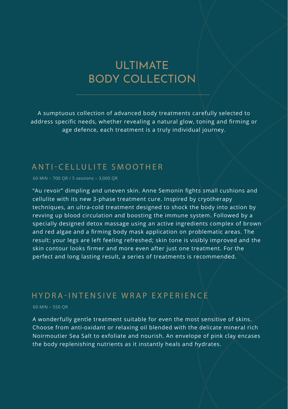# ULTIMATE BODY COLLECTION

A sumptuous collection of advanced body treatments carefully selected to address specific needs, whether revealing a natural glow, toning and firming or age defence, each treatment is a truly individual journey.

### ANTI-CELLULITE SMOOTHER

60 MIN – 700 QR / 5 sessions – 3,000 QR

"Au revoir" dimpling and uneven skin. Anne Semonin fights small cushions and cellulite with its new 3-phase treatment cure. Inspired by cryotherapy techniques, an ultra-cold treatment designed to shock the body into action by revving up blood circulation and boosting the immune system. Followed by a specially designed detox massage using an active ingredients complex of brown and red algae and a firming body mask application on problematic areas. The result: your legs are left feeling refreshed; skin tone is visibly improved and the skin contour looks firmer and more even after just one treatment. For the perfect and long lasting result, a series of treatments is recommended.

### HYDRA-INTENSIVE WRAP EXPERIENCE

60 MIN – 550 QR

A wonderfully gentle treatment suitable for even the most sensitive of skins. Choose from anti-oxidant or relaxing oil blended with the delicate mineral rich Noirmoutier Sea Salt to exfoliate and nourish. An envelope of pink clay encases the body replenishing nutrients as it instantly heals and hydrates.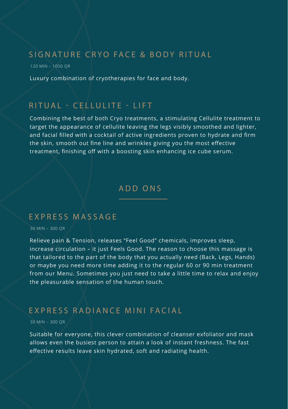### SIGNATURE CRYO FACE & BODY RITUAL

120 MIN – 1050 QR

Luxury combination of cryotherapies for face and body.

### RITUAL - CELLULITE - LIFT

Combining the best of both Cryo treatments, a stimulating Cellulite treatment to target the appearance of cellulite leaving the legs visibly smoothed and lighter, and facial filled with a cocktail of active ingredients proven to hydrate and firm the skin, smooth out fine line and wrinkles giving you the most effective treatment, finishing off with a boosting skin enhancing ice cube serum.

### ADD ONS

#### EXPRESS MASSAGE

30 MIN – 300 QR

Relieve pain & Tension, releases "Feel Good" chemicals, improves sleep, increase circulation – it just Feels Good. The reason to choose this massage is that tailored to the part of the body that you actually need (Back, Legs, Hands) or maybe you need more time adding it to the regular 60 or 90 min treatment from our Menu. Sometimes you just need to take a little time to relax and enjoy the pleasurable sensation of the human touch.

### EXPRESS RADIANCE MINI FACIAL

30 MIN – 300 QR

Suitable for everyone, this clever combination of cleanser exfoliator and mask allows even the busiest person to attain a look of instant freshness. The fast effective results leave skin hydrated, soft and radiating health.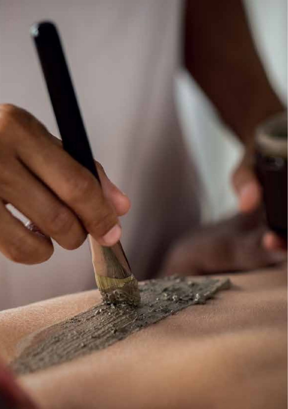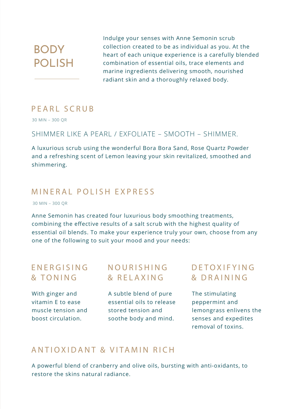# **BODY** POLISH

Indulge your senses with Anne Semonin scrub collection created to be as individual as you. At the heart of each unique experience is a carefully blended combination of essential oils, trace elements and marine ingredients delivering smooth, nourished radiant skin and a thoroughly relaxed body.

### PEARL SCRUB

30 MIN – 300 QR

#### SHIMMER LIKE A PEARL / EXFOLIATE – SMOOTH – SHIMMER.

A luxurious scrub using the wonderful Bora Bora Sand, Rose Quartz Powder and a refreshing scent of Lemon leaving your skin revitalized, smoothed and shimmering.

### MINERAL POLISH EXPRESS

30 MIN – 300 QR

Anne Semonin has created four luxurious body smoothing treatments, combining the effective results of a salt scrub with the highest quality of essential oil blends. To make your experience truly your own, choose from any one of the following to suit your mood and your needs:

### ENERGISING & TONING

With ginger and vitamin E to ease muscle tension and boost circulation.

### NOURISHING & RELAXING

A subtle blend of pure essential oils to release stored tension and soothe body and mind.

### DETOXIFYING & DRAINING

The stimulating peppermint and lemongrass enlivens the senses and expedites removal of toxins.

### ANTIOXIDANT & VITAMIN RICH

A powerful blend of cranberry and olive oils, bursting with anti-oxidants, to restore the skins natural radiance.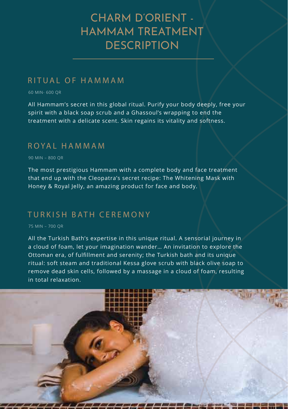# CHARM D'ORIENT - HAMMAM TREATMENT **DESCRIPTION**

### RITUAL OF HAMMAM

60 MIN- 600 QR

All Hammam's secret in this global ritual. Purify your body deeply, free your spirit with a black soap scrub and a Ghassoul's wrapping to end the treatment with a delicate scent. Skin regains its vitality and softness.

### ROYAL HAMMAM

90 MIN – 800 QR

The most prestigious Hammam with a complete body and face treatment that end up with the Cleopatra's secret recipe: The Whitening Mask with Honey & Royal Jelly, an amazing product for face and body.

### TURKISH BATH CEREMONY

75 MIN – 700 QR

All the Turkish Bath's expertise in this unique ritual. A sensorial journey in a cloud of foam, let your imagination wander… An invitation to explore the Ottoman era, of fulfillment and serenity; the Turkish bath and its unique ritual: soft steam and traditional Kessa glove scrub with black olive soap to remove dead skin cells, followed by a massage in a cloud of foam, resulting in total relaxation.

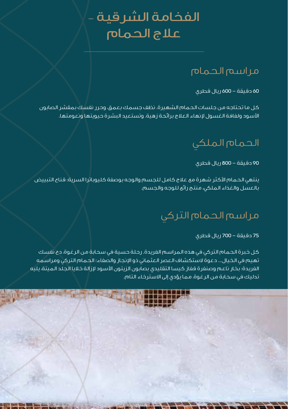# الفخامة الشرقية – علاج الحمام

### مراسم الحمام

60 دقيقة - 600 ريال قطري

كل ما تحتاجه من جلسات الحمام الشهيرة. نظف جسمك بعمق، وحرر نفسك بمقشر الصابون الأسود ولفافة الغسول لإنهاء العلاج برائحة زهية. وتستعيد البشرة حيويتها ونعومتها.

# الحمام الملكي

90 دقيقة - 800 ريال قطري

ينتهي الحمام الأكثر شهرة مع علاج كامل للجسم والوجه بوصفة كليوباترا السرية: قناع التبييض بالعسل والغذاء الملكي، منتج رائع للوجه والجسم.

# مراسم الحمام التركي

75 دقيقة - 700 ريال قطري

كل خبرة الحمام التركي في هذه المراسم الفريدة. رحلة حسية في سحابة من الرغوة، دع نفسك تهيم في الخيال... دعوة لاستكشاف العصر العثماني ذو الإنجاز والصفاء؛ الحمام التركي ومراسمه الفريدة: بخار ناعم وصنفرة قفاز كيسا التقليدي بصابون الزيتون الأسود لإزالة خلايا الجلد الميتة، يليه تدليك في سحابة من الرغوة، مما يؤدي إلى الاسترخاء التام.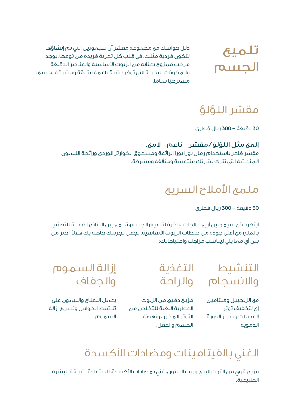

دلل حواسك مع مجموعة مقشر آن سيمونين التي تم إنشاؤها لتكون فردية مثلك. في قلب كل تجربة فريدة من نوعها، يوجد مركب ممزوج بعناية من الزيوت الأساسية والعناصر الدقيقة والمكونات البحرية التي توفر بشرة ناعمة متألقة ومشرقة وجسمًا مسترخيًا تمامًا.<br>.

# مقشر اللؤلؤ

30 دقيقة - 300 ريال قطري

إلمع مثل اللؤلؤ / مقشر - ناعم - لامع. مقشر فاخر باستخدام رمال بورا بورا الرائعة ومسحوق الكوارتز الوردي ورائحة الليمون المنعشة التي تترك بشرتك منتعشة ومتألقة ومشرقة.

# ملمع الأملاح السريع

30 دقيقة - 300 ريال قطري

ابتكرت آن سيمونين أربع علاجات فاخرة لتنعيم الجسم، تجمع بين النتائج الفعالة للتقشير ً بالملح مع أعلى جودة من خلطات الزيوت الأساسية. لجعل تجربتك خاصة بك فعلا، اختر من بين أي مما يلي ليناسب مزاجك واحتياجاتك:

### التنشيط والانسجام

مع الزنجبيل وفيتامين إي لتخفيف توتر العضلات وتعزيز الدورة الدموية.

التغذية والراحة

مزيج دقيق من الزيوت العطرية النقية للتخلص من التوتر المخزن وتهدئة الجسم والعقل.

إزالة السموم والجفاف

يعمل النعناع والليمون على تنشيط الحواس وتسريع إزالة السموم.

# الغني بالفيتامينات ومضادات الأكسدة

مزيج قوي من التوت البري وزيت الزيتون، غني بمضادات الأكسدة، لاستعادة إشراقة البشرة الطبيعية.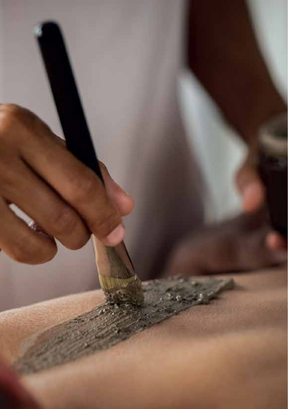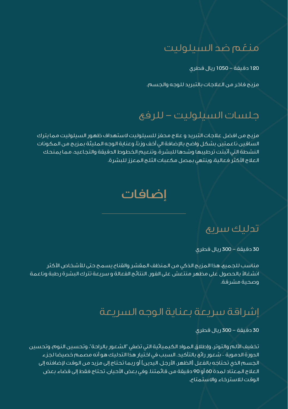# منعٌم ضد السيلوليت

120 دقيقة - 1050 ريال قطري

مزيج فاخر من العلاجات بالتبريد للوجه والجسم.

### جلسات السيلوليت - للرفع

مزيج من افضل علاجات التبريد و علاج محفز للسيلوليت لاستهداف ظهور السيلوليت مما يترك الساقين ناعمتين بشكل واضح بالإضافة الي أخف وزناً، وعناية الوجه المليئة بمزيج من المكونات النشطة التي أثبتت ترطيبها وشدها للبشرة، وتنعيم الخطوط الدقيقة والتجاعيد، مما يمنحك العلاج الأكثر فعالية، وينتهي بمصل مكعبات الثلج المعزز للبشرة.

### إضافات

### تدليك سريع

30 دقيقة - 300 ريال قطري

مناسب للجميع، هذا المزيج الذكي من المنظف المقشر والقناع يسمح حتى للأشخاص الأكثر انشغالا بالحصول على مظهر منتعش على الفور. النتائج الفعالة و سريعة تترك البشرة رطبة وناعمة وصحية مشرقة.

### إشراقة سريعة بعناية الوجه السريعة

30 دقيقة - 300 ريال قطري

تخفيف الألم والتوتر، وإطلاق المواد الكيميائية التي تضفي "الشعور بالراحة"، وتحسين النوم، وتحسين الدورة الدموية - شعور رائع بالتأكيد. السبب في اختيار هذا التدليك هو أنه مصمم خصيصًا لجزء الجسم الذي تحتاجه بالفعل (الظهر، الأرجل، اليدين) أو ربما تحتاج إلى مزيد من الوقت لإضافته إلى العلاج المعتاد لمدة 60 أو 90 دقيقة من قائمتنا. وفي بعض الأحيان، تحتاج فقط إلى قضاء بعض الوقت للاسترخاء والاستمتاع.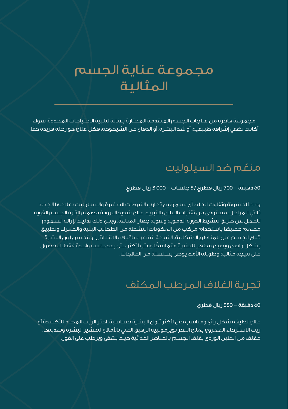# مجموعة عناية الجسم المثالية

مجموعة فاخرة من علاجات الجسم المتقدمة المختارة بعناية لتلبية الاحتياجات المحددة، سواء ً أكانت تضفي إشراقة طبيعية، أو شد البشرة، أو الدفاع عن الشيخوخة، فكل علاج هو رحلة فريدة حقا.

# منعٌم ضد السيلوليت

60 دقيقة - 700 ريال قطري / 5 جلسات - 3،000 ريال قطري

وداعاً لخشونة وتفاوت الجلد. آن سيمونين تحارب النتوءات الصغيرة والسيلوليت بعلاجها الجديد ثلاثي المراحل. مستوحى من تقنيات العلاج بالتبريد، علاج شديد البرودة مصمم لإثارة الجسم القوية للعمل عن طريق تنشيط الدورة الدموية وتقوية جهاز المناعة. ويتبع ذلك تدليك لإزالة السموم ً مصمم خصيصا باستخدام مركب من المكونات النشطة من الطحالب البنية والحمراء وتطبيق قناع الجسم على المناطق الإشكالية. النتيجة: تشعر ساقيك بالانتعاش؛ ويتحسن لون البشرة ً بشكل واضح ويصبح مظهر للبشرة متماسكا ومتزناً أكثر حتى بعد جلسة واحدة فقط. للحصول على نتيجة مثالية وطويلة الأمد، يوصى بسلسلة من العلاجات.

# تجربة الغلاف المرطب المكثف

60 دقيقة - 550 ريال قطري

علاج لطيف بشكل رائع ومناسب حتى لأكثر أنواع البشرة حساسية. اختر الزيت المضاد للأكسدة أو زيت الاسترخاء الممزوج بملح البحر نويرموتييه الرقيق الغني بالأملاح لتقشير البشرة وتغذيتها. مغلف من الطين الوردي يغلف الجسم بالعناصر الغذائية حيث يشفي ويرطب على الفور.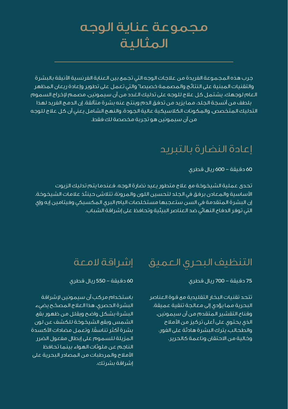# مجموعة عناية الوجه المثالية

جرب هذه المجموعة الفريدة من علاجات الوجه التي تجمع بين العناية الفرنسية الأنيقة بالبشرة والتقنيات المبنية على النتائج والمصممة خصيصا" والتي تعمل على تطوير وإعادة ريعان المظهر العام لوجهك. يشتمل كل علاج للوجه على تدليك الغدد من آن سيمونين، مصمم لإخراج السموم بلطف من أنسجة الجلد، مما يزيد من تدفق الدم وينتج عنه بشرة متألقة. إن الدمج الفريد لهذا التدليك المتخصص، والمكونات الكلاسيكية عالية الجودة، والنهج الشامل يعني أن كل علاج للوجه من آن سيمونين هو تجربة مخصصة لك فقط.

### إعادة النضارة بالتبريد

#### 60 دقيقة - 600 ريال قطري

تحدى عملية الشيخوخة مع علاج متطور يعيد نضارة الوجه. فعندما يتم تدليك الزيوت الأساسية والمعادن برفق في الجلد لتحسين اللون والمرونة، تتلاشى حينئذ علامات الشيخوخة. إن البشرة المتقدمة في السن ستعجبها مستخلصات اليام البري المكسيكي وفيتامين إيه وإي التي توفر الدفاع النهائي ضد العناصر البيئية وتحافظ على إشراقة الشباب.

# التنظيف البحري العميق

#### 75 دقيقة - 700 ريال قطري

تتحد تقنيات البخار التقليدية مع قوة العناصر البحرية مما يؤدي إلى معالجة تنقية عميقة. وقناع التقشير المتقدم من آن سيمونين، الذي يحتوي على أعلى تركيز من الأملاح والطحالب، يترك البشرة هادئة على الفور، وخالية من الاحتقان وناعمة كالحرير.

### إشراقة لامعة

#### 60 دقيقة - 550 ريال قطري

باستخدام مركب آن سيمونين لإشراقة ّ البشرة الحصري، هذا العلاج المصحح يضيء البشرة بشكل واضح ويقلل من ظهور بقع الشمس وبقع الشيخوخة للكشف عن لون ً بشرة أكثر تناسقا. وتعمل مضادات الأكسدة المزيلة للسموم على إبطال مفعول الضرر الناجم عن ملوثات الهواء بينما تحافظ الأملاح والمرطبات من المصادر البحرية على إشراقة بشرتك.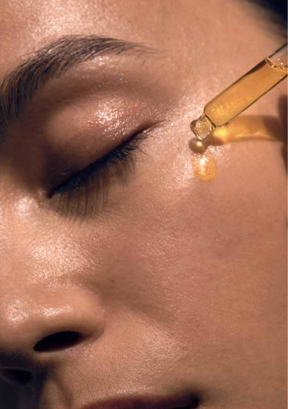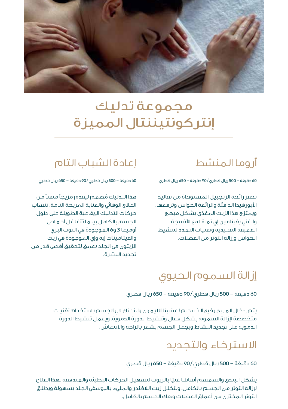

# مجموعة تدليك إنتركونتيننتال المميزة

### أروما المنشط

60 دقيقة - 500 ريال قطري / 90 دقيقة - 650 ريال قطري

تحفز رائحة الزنجبيل المستوحاة من تقاليد الأيورفيدا الدافئة والرائعة الحواس وترفعها. ويمتزج هذا الزيت المغذي بشكل مبهج والغني بفيتامين إي تمامًا مع الأنسجة العميقة التقليدية وتقنيات التمدد لتنشيط الحواس وإزالة التوتر من العضلات.

# إعادة الشباب التام

60 دقيقة - 500 ريال قطري / 90 دقيقة - 650 ريال قطري

هذا التدليك مُصمم ليقدم مزيجاً متقناً من العلاج الوقائي والعناية المريحة التامة. تنساب حركات التدليك الإيقاعية الطويلة على طول الجسم بالكامل بينما تتغلغل أحماض أوميغا 3 و6 الموجودة في التوت البري والفيتامينات إيه وإي الموجودة في زيت الزيتون في الجلد بعمق لتحقيق أقصى قدر من تحديد البشرة.

# إزالة السموم الحيوي

60 دقيقة - 500 ريال قطري / 90 دقيقة - 650 ريال قطري

يتم إدخال المزيج رفيع الانسجام لعشبتا الليمون والنعناع في الجسم باستخدام تقنيات متخصصة لإزالة السموم بشكل فعال وتنشيط الدورة الدموية. ويعمل تنشيط الدورة الدموية على تجديد النشاط ويجعل الجسم يشعر بالراحة والانتعاش.

# الاسترخاء والتجديد

60 دقيقة - 500 ريال قطري / 90 دقيقة - 650 ريال قطري

يشكل البندق والسمسم أساسًا غنيًا بالزيوت لتسهيل الحركات البطيئة والمتدفقة لهذا العلاج ً لإزالة التوتر من الجسم بالكامل. ويتخلل زيت اللافندر والمليء باليوسفي الجلد بسهولة ويطلق التوتر المختزن من أعماق العضلات ويفك الجسم بالكامل.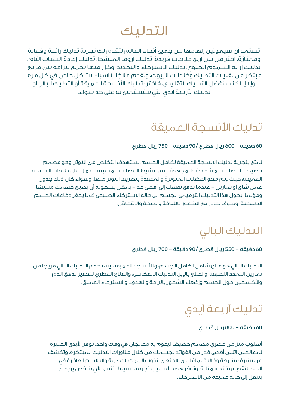# التدليك

تستمد آن سيمونين إلهامها من جميع أنحاء العالم لتقدم لك تجربة تدليك رائعة وفعالة وممتازة. اختر من بين أربع علاجات فريدة: تدليك أروما المنشط، تدليك إعادة الشباب التام، تدليك إزالة السموم الحيوي، تدليك الاسترخاء والتجديد، وكل منها تجمع ببراعة بين مزيج مبتكر من تقنيات التدليك وخلطات الزيوت، وتقدم علاجًا يناسبك بشكل خاص في كل مرة.<br>. وإلا إذا كنت تفضل التدليك التقليدي، فاختر: تدليك الأنسجة العميقة أو التدليك البالي أو تدليك الأربعة أيدي التي ستستمتع به على حد سواء.

# تدليك الأنسجة العميقة

60 دقيقة - 600 ريال قطري / 90 دقيقة - 750 ريال قطري

تمتع بتجربة تدليك الأنسجة العميقة لكامل الجسم، يستهدف التخلص من التوتر، وهو مصمم ً خصيصا للعضلات المشدودة والمجهدة. يتم تنشيط العضلات المتعبة بالعمل على طبقات الأنسجة العميقة، حيث يتم محو العضلات المتوترة والمعقدة بتصريف التوتر منها. وسواء كان ذلك جدول ً عمل شاق أو تمارين - عندما تدفع نفسك إلى أقصى حد - يمكن بسهولة أن يصبح جسمك متيبسا ومؤلماً. يحول هذا التدليك الترميمي الجسم إلى حالة الاسترخاء الطبيعي كما يحفز دفاعات الجسم الطبيعية. وسوف تغادر مع الشعور باللياقة والصحة والانتعاش.

# التدليك البالي

60 دقيقة - 550 ريال قطري / 90 دقيقة - 700 ريال قطري

ً التدليك البالي هو علاج شامل لكامل الجسم، وللأنسجة العميقة. يستخدم التدليك البالي مزيجا من تمارين التمدد اللطيفة، والعلاج بالإبر، التدليك الانعكاسي، والعلاج العطري لتحفيز تدفق الدم والأكسجين حول الجسم وإضفاء الشعور بالراحة والهدوء والاسترخاء العميق.

# تدليك أربعة أيدي

60 دقيقة - 800 ريال قطري

ً أسلوب متزامن حصري مصمم خصيصا ليقوم به معالجان في وقت واحد. توفر الأيدي الخبيرة لمعالجين اثنين أقصى قدر من الفوائد لجسمك من خلال مناورات التدليك المبتكرة، وتكشف عن بشرة مشرقة وخالية تمامًا من الاحتقان. تذوب الزيوت العطرية والبلاسم الفاخرة في الجلد لتقديم نتائج ممتازة. وتوفر هذه الأساليب تجربة حسية لا تُنسى لأى شخص يريد أن ينتقل إلى حالة عميقة من الاسترخاء.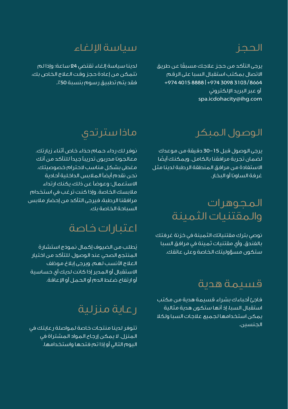### الحجز

ً يرجى التأكد من حجز علاجك مسبقا عن طريق الاتصال بمكتب استقبال السبا على الرقم +974 4015 8888 | +974 3098 3103 / 8664 أو عبر البريد الإلكتروني spa.icdohacity@ihg.com

### سياسة الإلغاء

لدينا سياسة إلغاء تقتضي 24 ساعة؛ وإذا لم نتمكن من إعادة حجز وقت العلاج الخاص بك، فقد يتم تطبيق رسوم بنسبة .٪50

# الوصول المبكر

يرجى الوصول قبل 30-15 دقيقة من موعدك ً لضمان تجربة مرافقنا بالكامل. ويمكنك أيضا الاستفادة من مرافق المنطقة الرطبة لدينا مثل غرفة الساونا أو البخار.

### المجوهرات والمقتنيات الثمينة

نوصي بترك مقتنياتك الثمينة في خزنة غرفتك بالفندق. وأي مقتنيات ثمينة في مرافق السبا ستكون مسؤوليتك الخاصة وعلى عاتقك.

فاجئ أحباءك بشراء قسيمة هدية من مكتب استقبال السبا، إذ أنها ستكون هدية مثالية يمكن استخدامها لجميع علاجات السبا ولكلا الجنسين.

# ماذا سترتدي

نوفر لك رداء حمام حذاء خاص أثناء زيارتك. معالجونا مدربون تدريباً جيداً للتأكد من أنك مغطى بشكل مناسب لاحترام خصوصيتك. نحن نقدم أيضاً الملابس الداخلية أحادية الاستعمال؛ وعوضاً عن ذلك، يكنك ارتداء ملابسك الخاصة. وإذا كنت ترغب في استخدام مرافقنا الرطبة، فيرجى التأكد من إحضار ملابس السباحة الخاصة بك.

# اعتبارات خاصة

ُطلب من الضيوف إكمال نموذج استشارة ي المنتجع الصحي عند الوصول، للتأكد من اختيار العلاج الأنسب لهم. ويرجى إبلاغ موظف الاستقبال أو المدير إذا كانت لديك أي حساسية قسيم هدية أو ارتفاع ضغط الدم أو الحمل أو الإعاقة. $\ddot{\rm g}$ 

# رعاية منزلية

تتوفر لدينا منتجات خاصة لمواصلة رعايتك في المنزل. لا يمكن إرجاع المواد المشتراة في اليوم التالي أو إذا تم فتحها واستخدامها.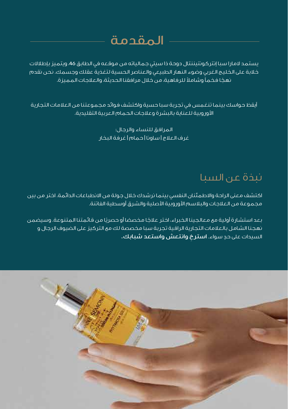# المقدمة

يستمد لامارا سبا إنتركونتيننتال دوحة ذا سيتي جمالياته من موقعه في الطابق ،46 ويتميز بإطلالات خلابة على الخليج الغربي وضوء النهار الطبيعي والعناصر الحسية لتغذية عقلك وجسمك. نحن نقدم نهجًا فخماً وشاملاً للرفاهية، من خلال مر افقنا الحديثة، والعلاجات المميزة. ً

أيقظ حواسك بينما تنغمس في تجربة سبا حسية واكتشف فوائد مجموعتنا من العلامات التجارية الأوروبية للعناية بالبشرة وعلاجات الحمام العربية التقليدية.

> المرافق للنساء والرجال: غرف العلاج | ساونا | حمام | غرفة البخار

### نبذة عن السبا

اكتشف معنى الراحة والاطمئنان النفسي بينما نرشدك خلال جولة من الانطباعات الدائمة. اختر من بين مجموعة من العلاجات والبلاسم الأوروبية الأصلية والشرق أوسطية الفاتنة.

بعد استشارة أولية مع معالجينا الخبراء، اختر علاجًا مخصصًا أو حصريًا من قائمتنا المتنوعة. وسيضمن نهجنا الشامل بالعلامات التجارية الراقية تجربة سبا مخصصة لك مع التركيز على الضيوف الرجال و السيدات على حدٍ سواء. **استرخ وانتعش واستعد شبابك.**